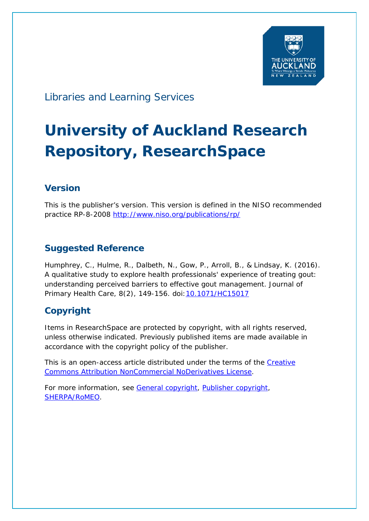

## Libraries and Learning Services

# **University of Auckland Research Repository, ResearchSpace**

## **Version**

This is the publisher's version. This version is defined in the NISO recommended practice RP-8-2008<http://www.niso.org/publications/rp/>

## **Suggested Reference**

Humphrey, C., Hulme, R., Dalbeth, N., Gow, P., Arroll, B., & Lindsay, K. (2016). A qualitative study to explore health professionals' experience of treating gout: understanding perceived barriers to effective gout management. *Journal of Primary Health Care*, *8*(2), 149-156. doi[:10.1071/HC15017](http://dx.doi.org/10.1071/HC15017)

## **Copyright**

Items in ResearchSpace are protected by copyright, with all rights reserved, unless otherwise indicated. Previously published items are made available in accordance with the copyright policy of the publisher.

This is an open-access article distributed under the terms of the [Creative](https://creativecommons.org/licenses/by-nc-nd/4.0/deed.en_US)  Commons Attribution [NonCommercial NoDerivatives](https://creativecommons.org/licenses/by-nc-nd/4.0/deed.en_US) License.

For more information, see [General copyright,](http://www.library.auckland.ac.nz/services/research-support/depositing-theses/copyright) [Publisher copyright,](http://www.publish.csiro.au/nid/317/aid/20669.htm) [SHERPA/RoMEO.](http://www.sherpa.ac.uk/romeo/issn/1172-6164/)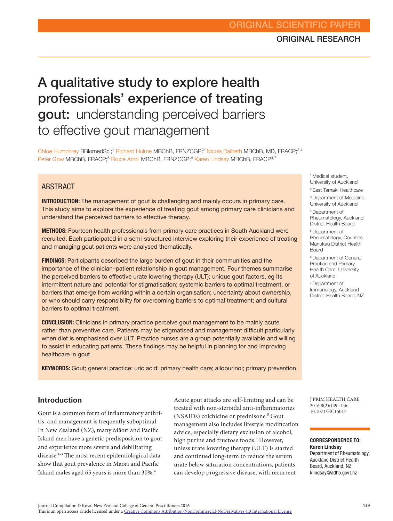## A qualitative study to explore health professionals' experience of treating gout: understanding perceived barriers to effective gout management

Chloe Humphrey BBiomedSci;<sup>1</sup> Richard Hulme MBChB, FRNZCGP;<sup>2</sup> Nicola Dalbeth MBChB, MD, FRACP;<sup>3,4</sup> Peter Gow MBChB, FRACP;<sup>5</sup> Bruce Arroll MBChB, FRNZCGP;<sup>6</sup> Karen Lindsay MBChB, FRACP<sup>4,7</sup>

#### **ABSTRACT**

**INTRODUCTION:** The management of gout is challenging and mainly occurs in primary care. This study aims to explore the experience of treating gout among primary care clinicians and understand the perceived barriers to effective therapy.

**METHODS:** Fourteen health professionals from primary care practices in South Auckland were recruited. Each participated in a semi-structured interview exploring their experience of treating and managing gout patients were analysed thematically.

**FINDINGS:** Participants described the large burden of gout in their communities and the importance of the clinician–patient relationship in gout management. Four themes summarise the perceived barriers to effective urate lowering therapy (ULT); unique gout factors, eg its intermittent nature and potential for stigmatisation; systemic barriers to optimal treatment, or barriers that emerge from working within a certain organisation; uncertainty about ownership, or who should carry responsibility for overcoming barriers to optimal treatment; and cultural barriers to optimal treatment.

Conclusion: Clinicians in primary practice perceive gout management to be mainly acute rather than preventive care. Patients may be stigmatised and management difficult particularly when diet is emphasised over ULT. Practice nurses are a group potentially available and willing to assist in educating patients. These findings may be helpful in planning for and improving healthcare in gout.

KEYWORDS: Gout; general practice; uric acid; primary health care; allopurinol; primary prevention

#### Introduction

Gout is a common form of inflammatory arthritis, and management is frequently suboptimal. In New Zealand (NZ), many Māori and Pacific Island men have a genetic predisposition to gout and experience more severe and debilitating disease.1–3 The most recent epidemiological data show that gout prevalence in Māori and Pacific Island males aged 65 years is more than 30%.4

Acute gout attacks are self-limiting and can be treated with non-steroidal anti-inflammatories (NSAIDs) colchicine or prednisone.<sup>5</sup> Gout management also includes lifestyle modification advice, especially dietary exclusion of alcohol, high purine and fructose foods.<sup>5</sup> However, unless urate lowering therapy (ULT) is started and continued long-term to reduce the serum urate below saturation concentrations, patients can develop progressive disease, with recurrent

1 Medical student, University of Auckland

2 East Tamaki Healthcare

3 Department of Medicine, University of Auckland

4 Department of Rheumatology, Auckland District Health Board

5 Department of Rheumatology, Counties Manukau District Health **Board** 

6 Department of General Practice and Primary Health Care, University of Auckland

7 Department of Immunology, Auckland District Health Board, NZ

J PRIM HEALTH CARE 2016;8(2):149–156. 10.1071/HC15017

Correspondence to: Karen Lindsay Department of Rheumatology, Auckland District Health Board, Auckland, NZ klindsay@adhb.govt.nz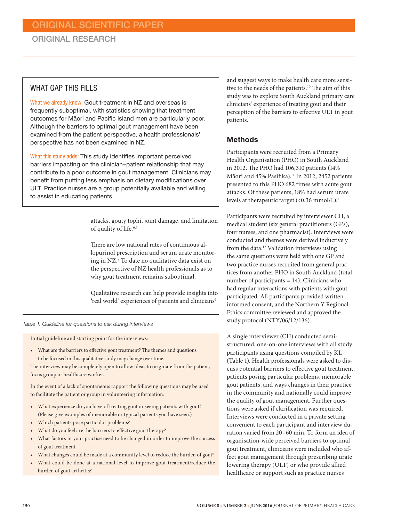#### WHAT GAP THIS FILLS

What we already know: Gout treatment in NZ and overseas is frequently suboptimal, with statistics showing that treatment outcomes for Māori and Pacific Island men are particularly poor. Although the barriers to optimal gout management have been examined from the patient perspective, a health professionals' perspective has not been examined in NZ.

What this study adds: This study identifies important perceived barriers impacting on the clinician–patient relationship that may contribute to a poor outcome in gout management. Clinicians may benefit from putting less emphasis on dietary modifications over ULT. Practice nurses are a group potentially available and willing to assist in educating patients.

> attacks, gouty tophi, joint damage, and limitation of quality of life.<sup>6,7</sup>

> There are low national rates of continuous allopurinol prescription and serum urate monitoring in NZ.8 To date no qualitative data exist on the perspective of NZ health professionals as to why gout treatment remains suboptimal.

> Qualitative research can help provide insights into 'real world' experiences of patients and clinicians<sup>9</sup>

Table 1. Guideline for questions to ask during interviews

Initial guideline and starting point for the interviews:

• What are the barriers to effective gout treatment? The themes and questions to be focused in this qualitative study may change over time.

The interview may be completely open to allow ideas to originate from the patient, focus group or healthcare worker.

In the event of a lack of spontaneous rapport the following questions may be used to facilitate the patient or group in volunteering information.

- What experience do you have of treating gout or seeing patients with gout? (Please give examples of memorable or typical patients you have seen.)
- Which patients pose particular problems?
- What do you feel are the barriers to effective gout therapy?
- What factors in your practise need to be changed in order to improve the success of gout treatment.
- What changes could be made at a community level to reduce the burden of gout?
- What could be done at a national level to improve gout treatment/reduce the burden of gout arthritis?

and suggest ways to make health care more sensitive to the needs of the patients.10 The aim of this study was to explore South Auckland primary care clinicians' experience of treating gout and their perception of the barriers to effective ULT in gout patients.

#### Methods

Participants were recruited from a Primary Health Organisation (PHO) in South Auckland in 2012. The PHO had 106,310 patients (14% Māori and 45% Pasifika).<sup>11</sup> In 2012, 2452 patients presented to this PHO 682 times with acute gout attacks. Of these patients, 18% had serum urate levels at therapeutic target (<0.36 mmol/L).<sup>11</sup>

Participants were recruited by interviewer CH, a medical student (six general practitioners (GPs), four nurses, and one pharmacist). Interviews were conducted and themes were derived inductively from the data.12 Validation interviews using the same questions were held with one GP and two practice nurses recruited from general practices from another PHO in South Auckland (total number of participants = 14). Clinicians who had regular interactions with patients with gout participated. All participants provided written informed consent, and the Northern Y Regional Ethics committee reviewed and approved the study protocol (NTY/06/12/136).

A single interviewer (CH) conducted semistructured, one-on-one interviews with all study participants using questions compiled by KL (Table 1). Health professionals were asked to discuss potential barriers to effective gout treatment, patients posing particular problems, memorable gout patients, and ways changes in their practice in the community and nationally could improve the quality of gout management. Further questions were asked if clarification was required. Interviews were conducted in a private setting convenient to each participant and interview duration varied from 20–60 min. To form an idea of organisation-wide perceived barriers to optimal gout treatment, clinicians were included who affect gout management through prescribing urate lowering therapy (ULT) or who provide allied healthcare or support such as practice nurses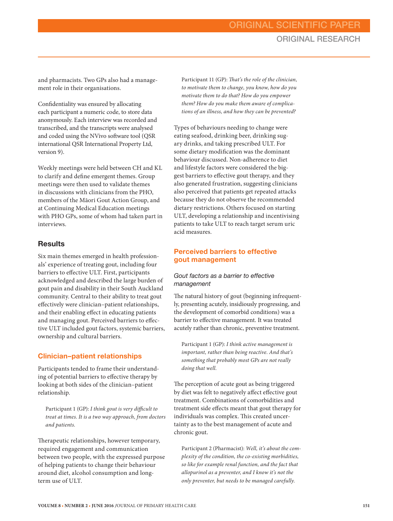and pharmacists. Two GPs also had a management role in their organisations.

Confidentiality was ensured by allocating each participant a numeric code, to store data anonymously. Each interview was recorded and transcribed, and the transcripts were analysed and coded using the NVivo software tool (QSR international QSR International Property Ltd, version 9).

Weekly meetings were held between CH and KL to clarify and define emergent themes. Group meetings were then used to validate themes in discussions with clinicians from the PHO, members of the Māori Gout Action Group, and at Continuing Medical Education meetings with PHO GPs, some of whom had taken part in interviews.

#### **Results**

Six main themes emerged in health professionals' experience of treating gout, including four barriers to effective ULT. First, participants acknowledged and described the large burden of gout pain and disability in their South Auckland community. Central to their ability to treat gout effectively were clinician–patient relationships, and their enabling effect in educating patients and managing gout. Perceived barriers to effective ULT included gout factors, systemic barriers, ownership and cultural barriers.

#### Clinician–patient relationships

Participants tended to frame their understanding of potential barriers to effective therapy by looking at both sides of the clinician–patient relationship.

Participant 1 (GP): *I think gout is very difficult to treat at times. It is a two way approach, from doctors and patients.*

Therapeutic relationships, however temporary, required engagement and communication between two people, with the expressed purpose of helping patients to change their behaviour around diet, alcohol consumption and longterm use of ULT.

Participant 11 (GP): *That's the role of the clinician, to motivate them to change, you know, how do you motivate them to do that? How do you empower them? How do you make them aware of complications of an illness, and how they can be prevented?*

Types of behaviours needing to change were eating seafood, drinking beer, drinking sugary drinks, and taking prescribed ULT. For some dietary modification was the dominant behaviour discussed. Non-adherence to diet and lifestyle factors were considered the biggest barriers to effective gout therapy, and they also generated frustration, suggesting clinicians also perceived that patients get repeated attacks because they do not observe the recommended dietary restrictions. Others focused on starting ULT, developing a relationship and incentivising patients to take ULT to reach target serum uric acid measures.

#### Perceived barriers to effective gout management

#### Gout factors as a barrier to effective management

The natural history of gout (beginning infrequently, presenting acutely, insidiously progressing, and the development of comorbid conditions) was a barrier to effective management. It was treated acutely rather than chronic, preventive treatment.

Participant 1 (GP): *I think active management is important, rather than being reactive. And that's something that probably most GPs are not really doing that well.*

The perception of acute gout as being triggered by diet was felt to negatively affect effective gout treatment. Combinations of comorbidities and treatment side effects meant that gout therapy for individuals was complex. This created uncertainty as to the best management of acute and chronic gout.

Participant 2 (Pharmacist): *Well, it's about the complexity of the condition, the co-existing morbidities, so like for example renal function, and the fact that allopurinol as a preventer, and I know it's not the only preventer, but needs to be managed carefully.*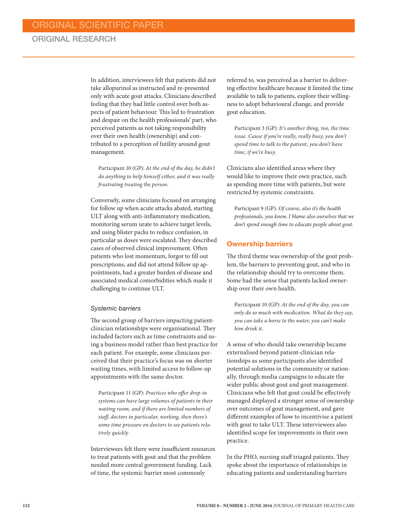In addition, interviewees felt that patients did not take allopurinol as instructed and re-presented only with acute gout attacks. Clinicians described feeling that they had little control over both aspects of patient behaviour. This led to frustration and despair on the health professionals' part, who perceived patients as not taking responsibility over their own health (ownership) and contributed to a perception of futility around gout management.

Participant 10 (GP): *At the end of the day, he didn't do anything to help himself either, and it was really frustrating treating the person.*

Conversely, some clinicians focused on arranging for follow up when acute attacks abated, starting ULT along with anti-inflammatory medication, monitoring serum urate to achieve target levels, and using blister packs to reduce confusion, in particular as doses were escalated. They described cases of observed clinical improvement. Often patients who lost momentum, forgot to fill out prescriptions, and did not attend follow up appointments, had a greater burden of disease and associated medical comorbidities which made it challenging to continue ULT.

#### Systemic barriers

The second group of barriers impacting patientclinician relationships were organisational. They included factors such as time constraints and using a business model rather than best practice for each patient. For example, some clinicians perceived that their practice's focus was on shorter waiting times, with limited access to follow-up appointments with the same doctor.

Participant 11 (GP): *Practices who offer drop-in systems can have large volumes of patients in their waiting room, and if there are limited numbers of staff, doctors in particular, working, then there's some time pressure on doctors to see patients relatively quickly*

Interviewees felt there were insufficient resources to treat patients with gout and that the problem needed more central government funding. Lack of time, the systemic barrier most commonly

referred to, was perceived as a barrier to delivering effective healthcare because it limited the time available to talk to patients, explore their willingness to adopt behavioural change, and provide gout education.

Participant 3 (GP): *It's another thing, too, the time issue. Cause if you're really, really busy, you don't spend time to talk to the patient, you don't have time, if we're busy.*

Clinicians also identified areas where they would like to improve their own practice, such as spending more time with patients, but were restricted by systemic constraints.

Participant 9 (GP): *Of course, also it's the health professionals, you know, I blame also ourselves that we don't spend enough time to educate people about gout.*

#### Ownership barriers

The third theme was ownership of the gout problem, the barriers to preventing gout, and who in the relationship should try to overcome them. Some had the sense that patients lacked ownership over their own health.

Participant 10 (GP): *At the end of the day, you can only do so much with medication. What do they say, you can take a horse to the water, you can't make him drink it.*

A sense of who should take ownership became externalised beyond patient-clinician relationships as some participants also identified potential solutions in the community or nationally, through media campaigns to educate the wider public about gout and gout management. Clinicians who felt that gout could be effectively managed displayed a stronger sense of ownership over outcomes of gout management, and gave different examples of how to incentivise a patient with gout to take ULT. These interviewees also identified scope for improvements in their own practice.

In the PHO, nursing staff triaged patients. They spoke about the importance of relationships in educating patients and understanding barriers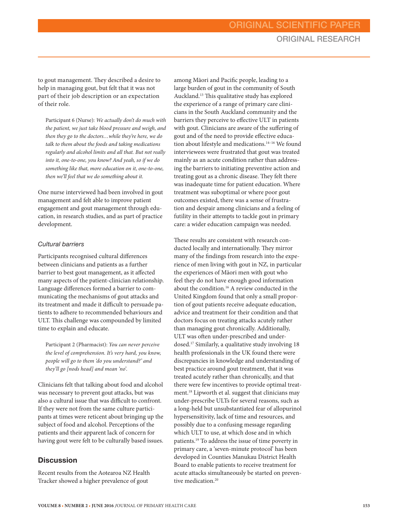to gout management. They described a desire to help in managing gout, but felt that it was not part of their job description or an expectation of their role.

Participant 6 (Nurse): *We actually don't do much with the patient, we just take blood pressure and weigh, and then they go to the doctors…while they're here, we do talk to them about the foods and taking medications regularly and alcohol limits and all that. But not really into it, one-to-one, you know? And yeah, so if we do something like that, more education on it, one-to-one, then we'll feel that we do something about it.*

One nurse interviewed had been involved in gout management and felt able to improve patient engagement and gout management through education, in research studies, and as part of practice development.

#### Cultural barriers

Participants recognised cultural differences between clinicians and patients as a further barrier to best gout management, as it affected many aspects of the patient-clinician relationship. Language differences formed a barrier to communicating the mechanisms of gout attacks and its treatment and made it difficult to persuade patients to adhere to recommended behaviours and ULT. This challenge was compounded by limited time to explain and educate.

Participant 2 (Pharmacist): *You can never perceive the level of comprehension. It's very hard, you know, people will go to them 'do you understand?' and they'll go [nods head] and mean 'no'.*

Clinicians felt that talking about food and alcohol was necessary to prevent gout attacks, but was also a cultural issue that was difficult to confront. If they were not from the same culture participants at times were reticent about bringing up the subject of food and alcohol. Perceptions of the patients and their apparent lack of concern for having gout were felt to be culturally based issues.

#### **Discussion**

Recent results from the Aotearoa NZ Health Tracker showed a higher prevalence of gout

among Māori and Pacific people, leading to a large burden of gout in the community of South Auckland.13 This qualitative study has explored the experience of a range of primary care clinicians in the South Auckland community and the barriers they perceive to effective ULT in patients with gout. Clinicians are aware of the suffering of gout and of the need to provide effective education about lifestyle and medications.<sup>14-16</sup> We found interviewees were frustrated that gout was treated mainly as an acute condition rather than addressing the barriers to initiating preventive action and treating gout as a chronic disease. They felt there was inadequate time for patient education. Where treatment was suboptimal or where poor gout outcomes existed, there was a sense of frustration and despair among clinicians and a feeling of futility in their attempts to tackle gout in primary care: a wider education campaign was needed.

These results are consistent with research conducted locally and internationally. They mirror many of the findings from research into the experience of men living with gout in NZ, in particular the experiences of Māori men with gout who feel they do not have enough good information about the condition.<sup>16</sup> A review conducted in the United Kingdom found that only a small proportion of gout patients receive adequate education, advice and treatment for their condition and that doctors focus on treating attacks acutely rather than managing gout chronically. Additionally, ULT was often under-prescribed and underdosed.17 Similarly, a qualitative study involving 18 health professionals in the UK found there were discrepancies in knowledge and understanding of best practice around gout treatment, that it was treated acutely rather than chronically, and that there were few incentives to provide optimal treatment.18 Lipworth et al. suggest that clinicians may under-prescribe ULTs for several reasons, such as a long-held but unsubstantiated fear of allopurinol hypersensitivity, lack of time and resources, and possibly due to a confusing message regarding which ULT to use, at which dose and in which patients.19 To address the issue of time poverty in primary care, a 'seven-minute protocol' has been developed in Counties Manukau District Health Board to enable patients to receive treatment for acute attacks simultaneously be started on preventive medication.<sup>20</sup>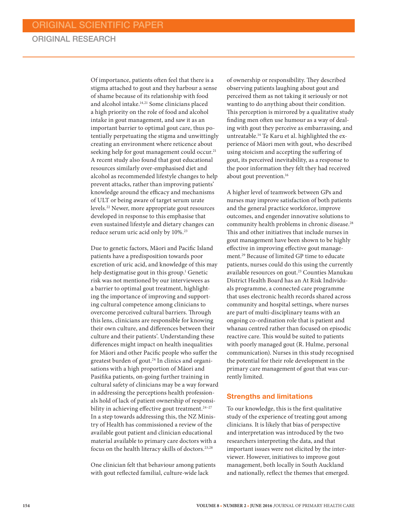Of importance, patients often feel that there is a stigma attached to gout and they harbour a sense of shame because of its relationship with food and alcohol intake. $^{\rm 14,21}$  Some clinicians placed a high priority on the role of food and alcohol intake in gout management, and saw it as an important barrier to optimal gout care, thus potentially perpetuating the stigma and unwittingly creating an environment where reticence about seeking help for gout management could occur.<sup>21</sup> A recent study also found that gout educational resources similarly over-emphasised diet and alcohol as recommended lifestyle changes to help prevent attacks, rather than improving patients' knowledge around the efficacy and mechanisms of ULT or being aware of target serum urate levels.22 Newer, more appropriate gout resources developed in response to this emphasise that even sustained lifestyle and dietary changes can reduce serum uric acid only by 10%.23

Due to genetic factors, Māori and Pacific Island patients have a predisposition towards poor excretion of uric acid, and knowledge of this may help destigmatise gout in this group.1 Genetic risk was not mentioned by our interviewees as a barrier to optimal gout treatment, highlighting the importance of improving and supporting cultural competence among clinicians to overcome perceived cultural barriers. Through this lens, clinicians are responsible for knowing their own culture, and differences between their culture and their patients'. Understanding these differences might impact on health inequalities for Māori and other Pacific people who suffer the greatest burden of gout.<sup>24</sup> In clinics and organisations with a high proportion of Māori and Pasifika patients, on-going further training in cultural safety of clinicians may be a way forward in addressing the perceptions health professionals hold of lack of patient ownership of responsibility in achieving effective gout treatment.<sup>24-27</sup> In a step towards addressing this, the NZ Ministry of Health has commissioned a review of the available gout patient and clinician educational material available to primary care doctors with a focus on the health literacy skills of doctors.23,28

One clinician felt that behaviour among patients with gout reflected familial, culture-wide lack

of ownership or responsibility. They described observing patients laughing about gout and perceived them as not taking it seriously or not wanting to do anything about their condition. This perception is mirrored by a qualitative study finding men often use humour as a way of dealing with gout they perceive as embarrassing, and untreatable.14 Te Karu et al. highlighted the experience of Māori men with gout, who described using stoicism and accepting the suffering of gout, its perceived inevitability, as a response to the poor information they felt they had received about gout prevention.<sup>16</sup>

A higher level of teamwork between GPs and nurses may improve satisfaction of both patients and the general practice workforce, improve outcomes, and engender innovative solutions to community health problems in chronic disease.28 This and other initiatives that include nurses in gout management have been shown to be highly effective in improving effective gout management.29 Because of limited GP time to educate patients, nurses could do this using the currently available resources on gout.23 Counties Manukau District Health Board has an At Risk Individuals programme, a connected care programme that uses electronic health records shared across community and hospital settings, where nurses are part of multi-disciplinary teams with an ongoing co-ordination role that is patient and whanau centred rather than focused on episodic reactive care. This would be suited to patients with poorly managed gout (R. Hulme, personal communication). Nurses in this study recognised the potential for their role development in the primary care management of gout that was currently limited.

#### Strengths and limitations

To our knowledge, this is the first qualitative study of the experience of treating gout among clinicians. It is likely that bias of perspective and interpretation was introduced by the two researchers interpreting the data, and that important issues were not elicited by the interviewer. However, initiatives to improve gout management, both locally in South Auckland and nationally, reflect the themes that emerged.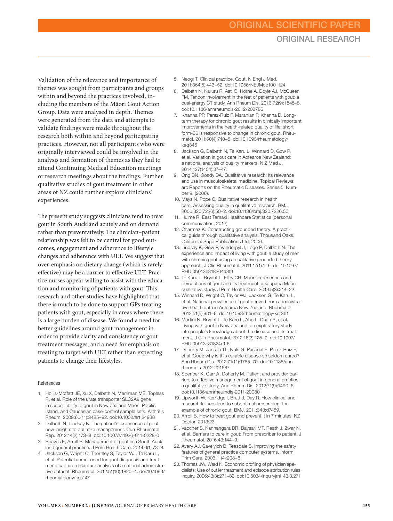Validation of the relevance and importance of themes was sought from participants and groups within and beyond the practices involved, including the members of the Māori Gout Action Group. Data were analysed in depth. Themes were generated from the data and attempts to validate findings were made throughout the research both within and beyond participating practices. However, not all participants who were originally interviewed could be involved in the analysis and formation of themes as they had to attend Continuing Medical Education meetings or research meetings about the findings. Further qualitative studies of gout treatment in other areas of NZ could further explore clinicians' experiences.

The present study suggests clinicians tend to treat gout in South Auckland acutely and on demand rather than preventatively. The clinician–patient relationship was felt to be central for good outcomes, engagement and adherence to lifestyle changes and adherence with ULT. We suggest that over-emphasis on dietary change (which is rarely effective) may be a barrier to effective ULT. Practice nurses appear willing to assist with the education and monitoring of patients with gout. This research and other studies have highlighted that there is much to be done to support GPs treating patients with gout, especially in areas where there is a large burden of disease. We found a need for better guidelines around gout management in order to provide clarity and consistency of gout treatment messages, and a need for emphasis on treating to target with ULT rather than expecting patients to change their lifestyles.

#### **References**

- 1. Hollis-Moffatt JE, Xu X, Dalbeth N, Merriman ME, Topless R, et al. Role of the urate transporter SLC2A9 gene in susceptibility to gout in New Zealand Maori, Pacific Island, and Caucasian case-control sample sets. Arthritis Rheum. 2009:60(11):3485–92. doi:10.1002/art.24938
- 2. Dalbeth N, Lindsay K. The patient's experience of gout: new insights to optimize management. Curr Rheumatol Rep. 2012:14(2):173–8. doi:10.1007/s11926-011-0228-0
- 3. Reaves E, Arroll B. Management of gout in a South Auckland general practice. J Prim Health Care. 2014:6(1):73–8.
- 4. Jackson G, Wright C, Thornley S, Taylor WJ, Te Karu L, et al. Potential unmet need for gout diagnosis and treatment: capture-recapture analysis of a national administrative dataset. Rheumatol. 2012:51(10):1820–4. doi:10.1093/ rheumatology/kes147
- 5. Neogi T. Clinical practice. Gout. N Engl J Med. 2011:364(5):443–52. doi:10.1056/NEJMcp1001124
- 6. Dalbeth N, Kalluru R, Aati O, Horne A, Doyle AJ, McQueen FM. Tendon involvement in the feet of patients with gout: a dual-energy CT study. Ann Rheum Dis. 2013:72(9):1545–8. doi:10.1136/annrheumdis-2012-202786
- 7. Khanna PP, Perez-Ruiz F, Maranian P, Khanna D. Longterm therapy for chronic gout results in clinically important improvements in the health-related quality of life: short form-36 is responsive to change in chronic gout. Rheumatol. 2011:50(4):740–5. doi:10.1093/rheumatology/ keg346
- 8. Jackson G, Dalbeth N, Te Karu L, Winnard D, Gow P, et al. Variation in gout care in Aotearoa New Zealand: a national analysis of quality markers. N Z Med J. 2014:127(1404):37–47.
- 9. Ong BN, Coady DA. Qualitative research: Its relevance and use in musculoskeletal medicine. Topical Reviews: arc Reports on the Rheumatic Diseases. Series 5: Number 9. (2006).
- 10. Mays N, Pope C. Qualitative research in health care. Assessing quality in qualitative research. BMJ. 2000:320(7226):50–2. doi:10.1136/bmj.320.7226.50
- 11. Hulme R. East Tamaki Healthcare Statistics (personal communication, 2012).
- 12. Charmaz K. Constructing grounded theory. A practical guide through qualitative analysis. Thousand Oaks, California: Sage Publications Ltd; 2006.
- 13. Lindsay K, Gow P, Vanderpyl J, Logo P, Dalbeth N. The experience and impact of living with gout: a study of men with chronic gout using a qualitative grounded theory approach. J Clin Rheumatol. 2011:17(1):1–6. doi:10.1097/ RHU.0b013e318204a8f9
- 14. Te Karu L, Bryant L, Elley CR. Maori experiences and perceptions of gout and its treatment: a kaupapa Maori qualitative study. J Prim Health Care. 2013:5(3):214–22.
- 15. Winnard D, Wright C, Taylor WJ, Jackson G, Te Karu L, et al. National prevalence of gout derived from administrative health data in Aotearoa New Zealand. Rheumatol. 2012:51(5):901–9. doi:10.1093/rheumatology/ker361
- 16. Martini N, Bryant L, Te Karu L, Aho L, Chan R, et al. Living with gout in New Zealand: an exploratory study into people's knowledge about the disease and its treatment. J Clin Rheumatol. 2012:18(3):125–9. doi:10.1097/ RHU.0b013e31824e1f6f
- 17. Doherty M, Jansen TL, Nuki G, Pascual E, Perez-Ruiz F, et al. Gout: why is this curable disease so seldom cured? Ann Rheum Dis. 2012:71(11):1765–70. doi:10.1136/annrheumdis-2012-201687
- 18. Spencer K, Carr A, Doherty M. Patient and provider barriers to effective management of gout in general practice: a qualitative study. Ann Rheum Dis. 2012:71(9):1490–5. doi:10.1136/annrheumdis-2011-200801
- 19. Lipworth W, Kerridge I, Brett J, Day R. How clinical and research failures lead to suboptimal prescribing: the example of chronic gout. BMJ. 2011:343:d7459.
- 20. Arroll B. How to treat gout and prevent it in 7 minutes. NZ Doctor. 2013:23.
- 21. Vaccher S, Kannangara DR, Baysari MT, Reath J, Zwar N, et al. Barriers to care in gout: From prescriber to patient. J Rheumatol. 2016:43:144–9.
- 22. Avery AJ, Savelyich B, Teasdale S. Improving the safety features of general practice computer systems. Inform Prim Care. 2003:11(4):203–6.
- 23. Thomas JW, Ward K. Economic profiling of physician specialists: Use of outlier treatment and episode attribution rules. Inquiry. 2006:43(3):271–82. doi:10.5034/inquiryjrnl\_43.3.271